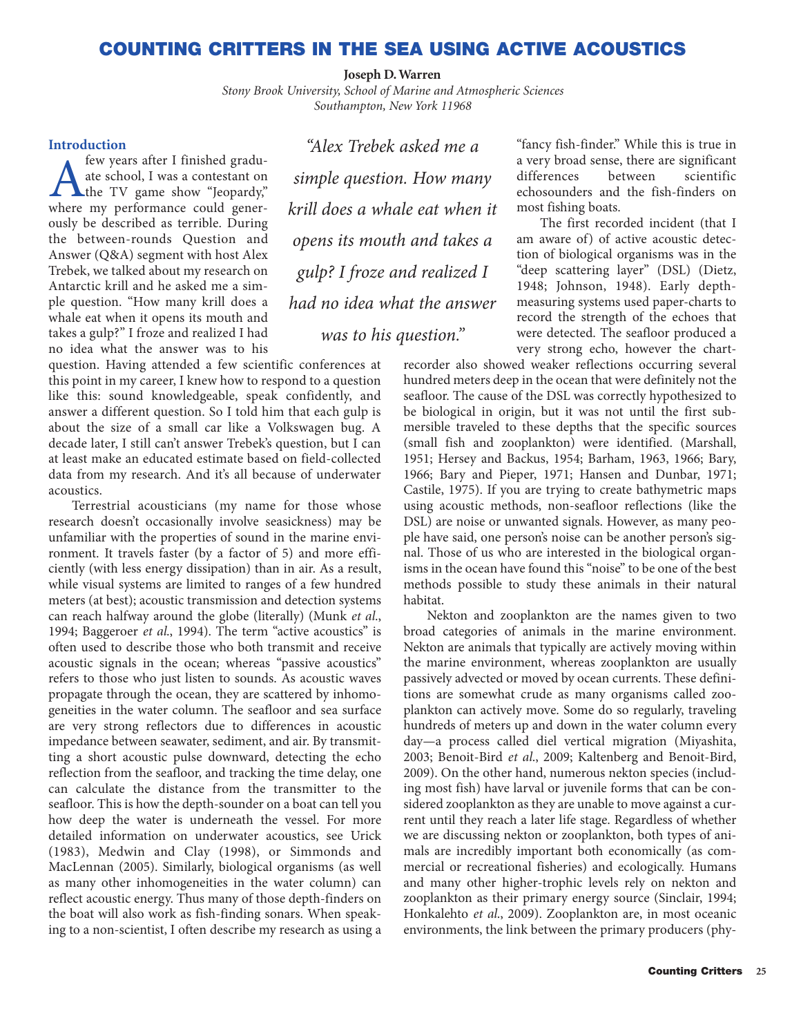# **COUNTING CRITTERS IN THE SEA USING ACTIVE ACOUSTICS**

**Joseph D. Warren**

*Stony Brook University, School of Marine and Atmospheric Sciences Southampton, New York 11968*

#### **Introduction**

**A** few years after I finished gradu-<br>the TV game show "Jeopardy,"<br>where my performance could generate school, I was a contestant on where my performance could generously be described as terrible. During the between-rounds Question and Answer (Q&A) segment with host Alex Trebek, we talked about my research on Antarctic krill and he asked me a simple question. "How many krill does a whale eat when it opens its mouth and takes a gulp?" I froze and realized I had no idea what the answer was to his

*"Alex Trebek asked me a simple question. How many krill does a whale eat when it opens its mouth and takes a gulp? I froze and realized I had no idea what the answer was to his question."*

question. Having attended a few scientific conferences at this point in my career, I knew how to respond to a question like this: sound knowledgeable, speak confidently, and answer a different question. So I told him that each gulp is about the size of a small car like a Volkswagen bug. A decade later, I still can't answer Trebek's question, but I can at least make an educated estimate based on field-collected data from my research. And it's all because of underwater acoustics.

Terrestrial acousticians (my name for those whose research doesn't occasionally involve seasickness) may be unfamiliar with the properties of sound in the marine environment. It travels faster (by a factor of 5) and more efficiently (with less energy dissipation) than in air. As a result, while visual systems are limited to ranges of a few hundred meters (at best); acoustic transmission and detection systems can reach halfway around the globe (literally) (Munk *et al.*, 1994; Baggeroer *et al.*, 1994). The term "active acoustics" is often used to describe those who both transmit and receive acoustic signals in the ocean; whereas "passive acoustics" refers to those who just listen to sounds. As acoustic waves propagate through the ocean, they are scattered by inhomogeneities in the water column. The seafloor and sea surface are very strong reflectors due to differences in acoustic impedance between seawater, sediment, and air. By transmitting a short acoustic pulse downward, detecting the echo reflection from the seafloor, and tracking the time delay, one can calculate the distance from the transmitter to the seafloor. This is how the depth-sounder on a boat can tell you how deep the water is underneath the vessel. For more detailed information on underwater acoustics, see Urick (1983), Medwin and Clay (1998), or Simmonds and MacLennan (2005). Similarly, biological organisms (as well as many other inhomogeneities in the water column) can reflect acoustic energy. Thus many of those depth-finders on the boat will also work as fish-finding sonars. When speaking to a non-scientist, I often describe my research as using a

"fancy fish-finder." While this is true in a very broad sense, there are significant differences between scientific echosounders and the fish-finders on most fishing boats.

The first recorded incident (that I am aware of) of active acoustic detection of biological organisms was in the "deep scattering layer" (DSL) (Dietz, 1948; Johnson, 1948). Early depthmeasuring systems used paper-charts to record the strength of the echoes that were detected. The seafloor produced a very strong echo, however the chart-

recorder also showed weaker reflections occurring several hundred meters deep in the ocean that were definitely not the seafloor. The cause of the DSL was correctly hypothesized to be biological in origin, but it was not until the first submersible traveled to these depths that the specific sources (small fish and zooplankton) were identified. (Marshall, 1951; Hersey and Backus, 1954; Barham, 1963, 1966; Bary, 1966; Bary and Pieper, 1971; Hansen and Dunbar, 1971; Castile, 1975). If you are trying to create bathymetric maps using acoustic methods, non-seafloor reflections (like the DSL) are noise or unwanted signals. However, as many people have said, one person's noise can be another person's signal. Those of us who are interested in the biological organisms in the ocean have found this "noise" to be one of the best methods possible to study these animals in their natural habitat.

Nekton and zooplankton are the names given to two broad categories of animals in the marine environment. Nekton are animals that typically are actively moving within the marine environment, whereas zooplankton are usually passively advected or moved by ocean currents. These definitions are somewhat crude as many organisms called zooplankton can actively move. Some do so regularly, traveling hundreds of meters up and down in the water column every day—a process called diel vertical migration (Miyashita, 2003; Benoit-Bird *et al.*, 2009; Kaltenberg and Benoit-Bird, 2009). On the other hand, numerous nekton species (including most fish) have larval or juvenile forms that can be considered zooplankton as they are unable to move against a current until they reach a later life stage. Regardless of whether we are discussing nekton or zooplankton, both types of animals are incredibly important both economically (as commercial or recreational fisheries) and ecologically. Humans and many other higher-trophic levels rely on nekton and zooplankton as their primary energy source (Sinclair, 1994; Honkalehto *et al.*, 2009). Zooplankton are, in most oceanic environments, the link between the primary producers (phy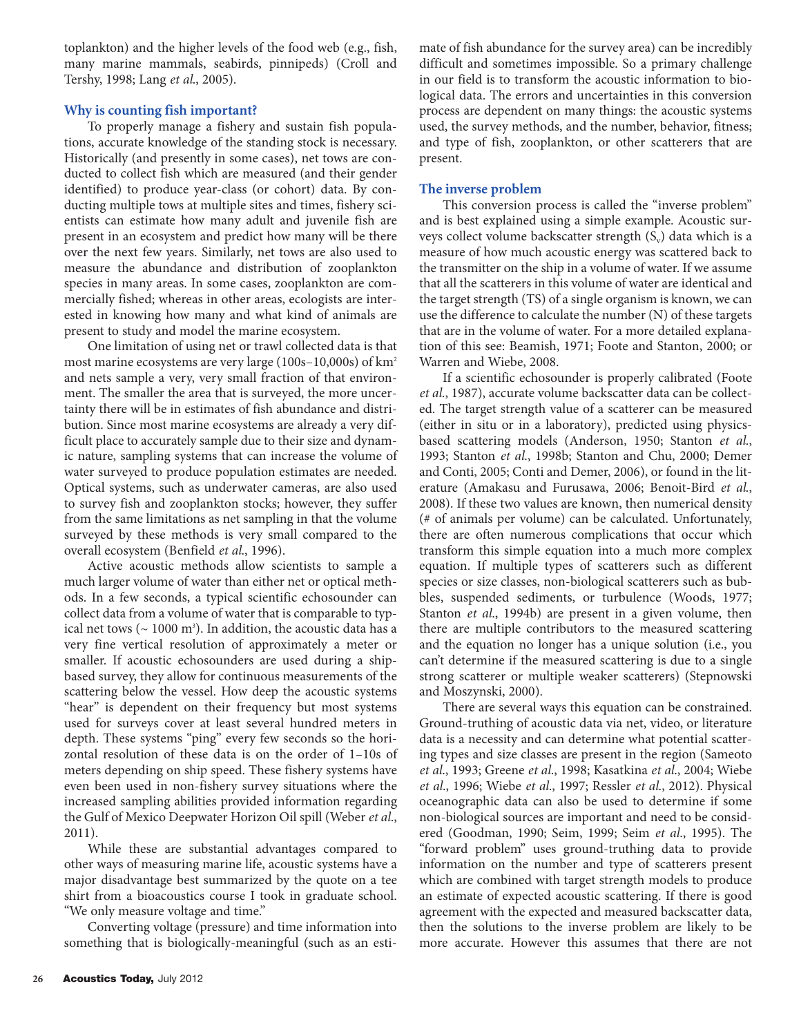toplankton) and the higher levels of the food web (e.g., fish, many marine mammals, seabirds, pinnipeds) (Croll and Tershy, 1998; Lang *et al.*, 2005).

## **Why is counting fish important?**

To properly manage a fishery and sustain fish populations, accurate knowledge of the standing stock is necessary. Historically (and presently in some cases), net tows are conducted to collect fish which are measured (and their gender identified) to produce year-class (or cohort) data. By conducting multiple tows at multiple sites and times, fishery scientists can estimate how many adult and juvenile fish are present in an ecosystem and predict how many will be there over the next few years. Similarly, net tows are also used to measure the abundance and distribution of zooplankton species in many areas. In some cases, zooplankton are commercially fished; whereas in other areas, ecologists are interested in knowing how many and what kind of animals are present to study and model the marine ecosystem.

One limitation of using net or trawl collected data is that most marine ecosystems are very large (100s–10,000s) of km2 and nets sample a very, very small fraction of that environment. The smaller the area that is surveyed, the more uncertainty there will be in estimates of fish abundance and distribution. Since most marine ecosystems are already a very difficult place to accurately sample due to their size and dynamic nature, sampling systems that can increase the volume of water surveyed to produce population estimates are needed. Optical systems, such as underwater cameras, are also used to survey fish and zooplankton stocks; however, they suffer from the same limitations as net sampling in that the volume surveyed by these methods is very small compared to the overall ecosystem (Benfield *et al.*, 1996).

Active acoustic methods allow scientists to sample a much larger volume of water than either net or optical methods. In a few seconds, a typical scientific echosounder can collect data from a volume of water that is comparable to typical net tows ( $\sim 1000$  m<sup>3</sup>). In addition, the acoustic data has a very fine vertical resolution of approximately a meter or smaller. If acoustic echosounders are used during a shipbased survey, they allow for continuous measurements of the scattering below the vessel. How deep the acoustic systems "hear" is dependent on their frequency but most systems used for surveys cover at least several hundred meters in depth. These systems "ping" every few seconds so the horizontal resolution of these data is on the order of 1–10s of meters depending on ship speed. These fishery systems have even been used in non-fishery survey situations where the increased sampling abilities provided information regarding the Gulf of Mexico Deepwater Horizon Oil spill (Weber *et al.*, 2011).

While these are substantial advantages compared to other ways of measuring marine life, acoustic systems have a major disadvantage best summarized by the quote on a tee shirt from a bioacoustics course I took in graduate school. "We only measure voltage and time."

Converting voltage (pressure) and time information into something that is biologically-meaningful (such as an estimate of fish abundance for the survey area) can be incredibly difficult and sometimes impossible. So a primary challenge in our field is to transform the acoustic information to biological data. The errors and uncertainties in this conversion process are dependent on many things: the acoustic systems used, the survey methods, and the number, behavior, fitness; and type of fish, zooplankton, or other scatterers that are present.

# **The inverse problem**

This conversion process is called the "inverse problem" and is best explained using a simple example. Acoustic surveys collect volume backscatter strength  $(S_v)$  data which is a measure of how much acoustic energy was scattered back to the transmitter on the ship in a volume of water. If we assume that all the scatterers in this volume of water are identical and the target strength (TS) of a single organism is known, we can use the difference to calculate the number (N) of these targets that are in the volume of water. For a more detailed explanation of this see: Beamish, 1971; Foote and Stanton, 2000; or Warren and Wiebe, 2008.

If a scientific echosounder is properly calibrated (Foote *et al.*, 1987), accurate volume backscatter data can be collected. The target strength value of a scatterer can be measured (either in situ or in a laboratory), predicted using physicsbased scattering models (Anderson, 1950; Stanton *et al.*, 1993; Stanton *et al.*, 1998b; Stanton and Chu, 2000; Demer and Conti, 2005; Conti and Demer, 2006), or found in the literature (Amakasu and Furusawa, 2006; Benoit-Bird *et al*., 2008). If these two values are known, then numerical density (# of animals per volume) can be calculated. Unfortunately, there are often numerous complications that occur which transform this simple equation into a much more complex equation. If multiple types of scatterers such as different species or size classes, non-biological scatterers such as bubbles, suspended sediments, or turbulence (Woods, 1977; Stanton *et al.*, 1994b) are present in a given volume, then there are multiple contributors to the measured scattering and the equation no longer has a unique solution (i.e., you can't determine if the measured scattering is due to a single strong scatterer or multiple weaker scatterers) (Stepnowski and Moszynski, 2000).

There are several ways this equation can be constrained. Ground-truthing of acoustic data via net, video, or literature data is a necessity and can determine what potential scattering types and size classes are present in the region (Sameoto *et al.*, 1993; Greene *et al.*, 1998; Kasatkina *et al.*, 2004; Wiebe *et al.*, 1996; Wiebe *et al.*, 1997; Ressler *et al.*, 2012). Physical oceanographic data can also be used to determine if some non-biological sources are important and need to be considered (Goodman, 1990; Seim, 1999; Seim *et al.*, 1995). The "forward problem" uses ground-truthing data to provide information on the number and type of scatterers present which are combined with target strength models to produce an estimate of expected acoustic scattering. If there is good agreement with the expected and measured backscatter data, then the solutions to the inverse problem are likely to be more accurate. However this assumes that there are not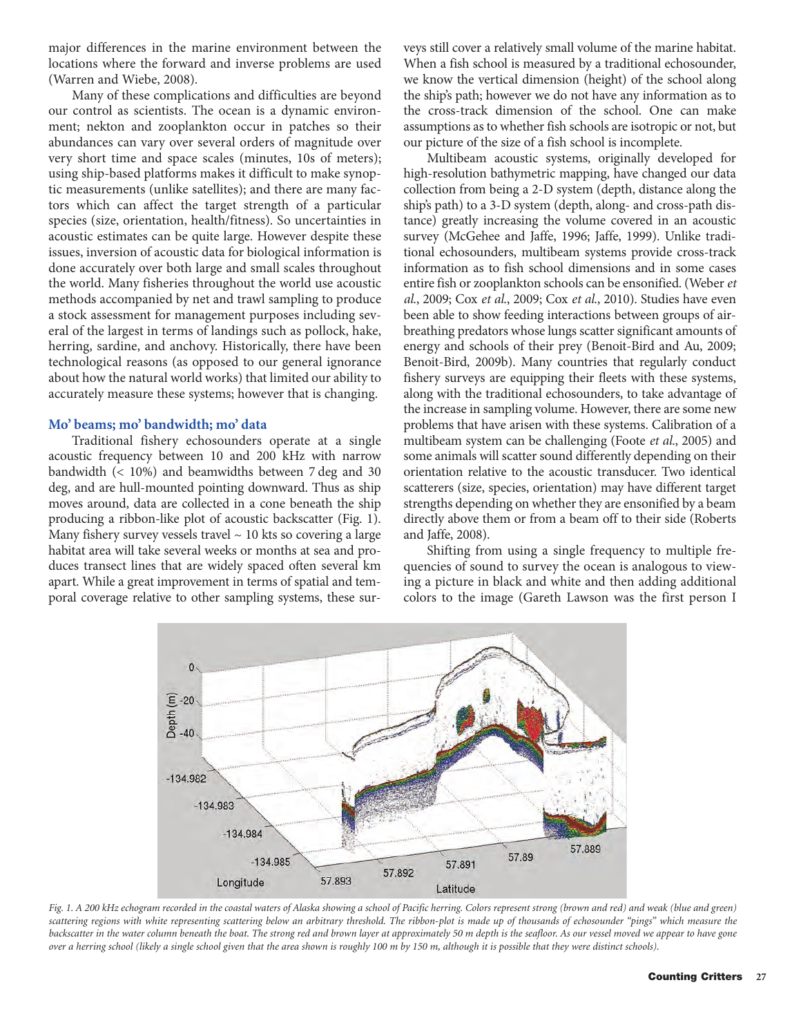major differences in the marine environment between the locations where the forward and inverse problems are used (Warren and Wiebe, 2008).

Many of these complications and difficulties are beyond our control as scientists. The ocean is a dynamic environment; nekton and zooplankton occur in patches so their abundances can vary over several orders of magnitude over very short time and space scales (minutes, 10s of meters); using ship-based platforms makes it difficult to make synoptic measurements (unlike satellites); and there are many factors which can affect the target strength of a particular species (size, orientation, health/fitness). So uncertainties in acoustic estimates can be quite large. However despite these issues, inversion of acoustic data for biological information is done accurately over both large and small scales throughout the world. Many fisheries throughout the world use acoustic methods accompanied by net and trawl sampling to produce a stock assessment for management purposes including several of the largest in terms of landings such as pollock, hake, herring, sardine, and anchovy. Historically, there have been technological reasons (as opposed to our general ignorance about how the natural world works) that limited our ability to accurately measure these systems; however that is changing.

## **Mo' beams; mo' bandwidth; mo' data**

Traditional fishery echosounders operate at a single acoustic frequency between 10 and 200 kHz with narrow bandwidth (< 10%) and beamwidths between 7 deg and 30 deg, and are hull-mounted pointing downward. Thus as ship moves around, data are collected in a cone beneath the ship producing a ribbon-like plot of acoustic backscatter (Fig. 1). Many fishery survey vessels travel  $\sim$  10 kts so covering a large habitat area will take several weeks or months at sea and produces transect lines that are widely spaced often several km apart. While a great improvement in terms of spatial and temporal coverage relative to other sampling systems, these surveys still cover a relatively small volume of the marine habitat. When a fish school is measured by a traditional echosounder, we know the vertical dimension (height) of the school along the ship's path; however we do not have any information as to the cross-track dimension of the school. One can make assumptions as to whether fish schools are isotropic or not, but our picture of the size of a fish school is incomplete.

Multibeam acoustic systems, originally developed for high-resolution bathymetric mapping, have changed our data collection from being a 2-D system (depth, distance along the ship's path) to a 3-D system (depth, along- and cross-path distance) greatly increasing the volume covered in an acoustic survey (McGehee and Jaffe, 1996; Jaffe, 1999). Unlike traditional echosounders, multibeam systems provide cross-track information as to fish school dimensions and in some cases entire fish or zooplankton schools can be ensonified. (Weber *et al.*, 2009; Cox *et al.*, 2009; Cox *et al.*, 2010). Studies have even been able to show feeding interactions between groups of airbreathing predators whose lungs scatter significant amounts of energy and schools of their prey (Benoit-Bird and Au, 2009; Benoit-Bird, 2009b). Many countries that regularly conduct fishery surveys are equipping their fleets with these systems, along with the traditional echosounders, to take advantage of the increase in sampling volume. However, there are some new problems that have arisen with these systems. Calibration of a multibeam system can be challenging (Foote *et al.*, 2005) and some animals will scatter sound differently depending on their orientation relative to the acoustic transducer. Two identical scatterers (size, species, orientation) may have different target strengths depending on whether they are ensonified by a beam directly above them or from a beam off to their side (Roberts and Jaffe, 2008).

Shifting from using a single frequency to multiple frequencies of sound to survey the ocean is analogous to viewing a picture in black and white and then adding additional colors to the image (Gareth Lawson was the first person I



*Fig. 1. A 200 kHz echogram recorded in the coastal waters of Alaska showing a school of Pacific herring. Colors represent strong (brown and red) and weak (blue and green) scattering regions with white representing scattering below an arbitrary threshold. The ribbon-plot is made up of thousands of echosounder "pings" which measure the backscatter in the water column beneath the boat. The strong red and brown layer at approximately 50 m depth is the seafloor. As our vessel moved we appear to have gone over a herring school (likely a single school given that the area shown is roughly 100 m by 150 m, although it is possible that they were distinct schools).*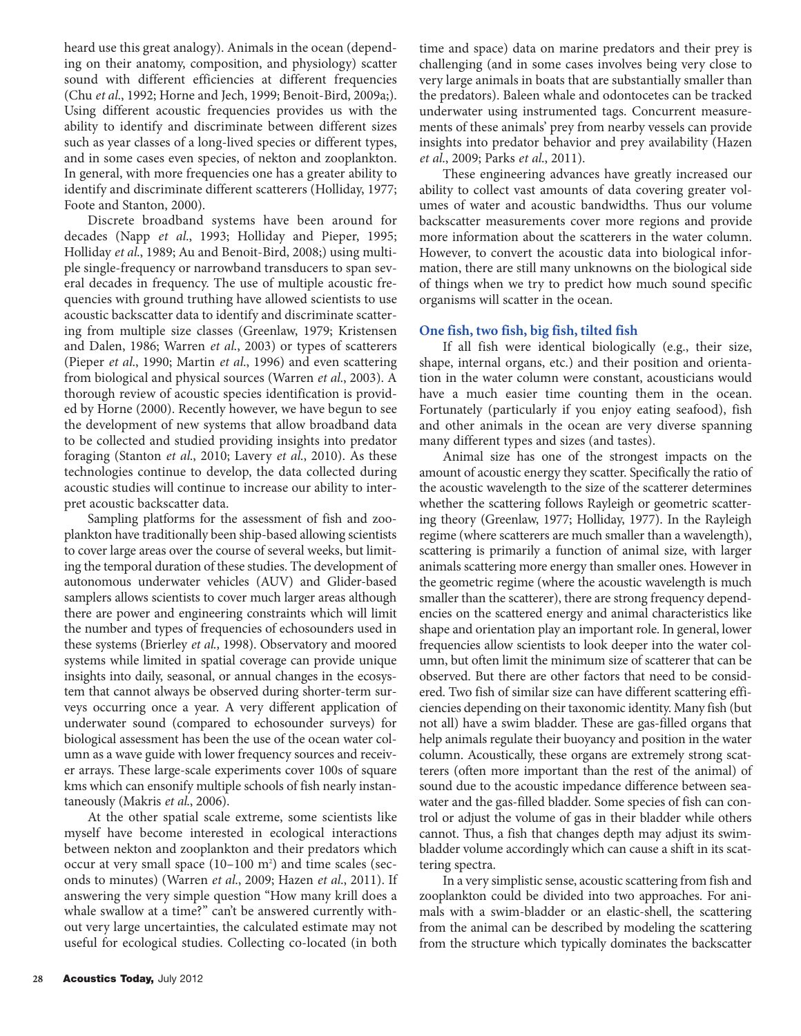heard use this great analogy). Animals in the ocean (depending on their anatomy, composition, and physiology) scatter sound with different efficiencies at different frequencies (Chu *et al.*, 1992; Horne and Jech, 1999; Benoit-Bird, 2009a;). Using different acoustic frequencies provides us with the ability to identify and discriminate between different sizes such as year classes of a long-lived species or different types, and in some cases even species, of nekton and zooplankton. In general, with more frequencies one has a greater ability to identify and discriminate different scatterers (Holliday, 1977; Foote and Stanton, 2000).

Discrete broadband systems have been around for decades (Napp *et al.*, 1993; Holliday and Pieper, 1995; Holliday *et al.*, 1989; Au and Benoit-Bird, 2008;) using multiple single-frequency or narrowband transducers to span several decades in frequency. The use of multiple acoustic frequencies with ground truthing have allowed scientists to use acoustic backscatter data to identify and discriminate scattering from multiple size classes (Greenlaw, 1979; Kristensen and Dalen, 1986; Warren *et al.*, 2003) or types of scatterers (Pieper *et al.*, 1990; Martin *et al.*, 1996) and even scattering from biological and physical sources (Warren *et al.*, 2003). A thorough review of acoustic species identification is provided by Horne (2000). Recently however, we have begun to see the development of new systems that allow broadband data to be collected and studied providing insights into predator foraging (Stanton *et al.*, 2010; Lavery *et al.*, 2010). As these technologies continue to develop, the data collected during acoustic studies will continue to increase our ability to interpret acoustic backscatter data.

Sampling platforms for the assessment of fish and zooplankton have traditionally been ship-based allowing scientists to cover large areas over the course of several weeks, but limiting the temporal duration of these studies. The development of autonomous underwater vehicles (AUV) and Glider-based samplers allows scientists to cover much larger areas although there are power and engineering constraints which will limit the number and types of frequencies of echosounders used in these systems (Brierley *et al.,* 1998). Observatory and moored systems while limited in spatial coverage can provide unique insights into daily, seasonal, or annual changes in the ecosystem that cannot always be observed during shorter-term surveys occurring once a year. A very different application of underwater sound (compared to echosounder surveys) for biological assessment has been the use of the ocean water column as a wave guide with lower frequency sources and receiver arrays. These large-scale experiments cover 100s of square kms which can ensonify multiple schools of fish nearly instantaneously (Makris *et al.*, 2006).

At the other spatial scale extreme, some scientists like myself have become interested in ecological interactions between nekton and zooplankton and their predators which occur at very small space  $(10-100 \text{ m}^2)$  and time scales (seconds to minutes) (Warren *et al.*, 2009; Hazen *et al.*, 2011). If answering the very simple question "How many krill does a whale swallow at a time?" can't be answered currently without very large uncertainties, the calculated estimate may not useful for ecological studies. Collecting co-located (in both

time and space) data on marine predators and their prey is challenging (and in some cases involves being very close to very large animals in boats that are substantially smaller than the predators). Baleen whale and odontocetes can be tracked underwater using instrumented tags. Concurrent measurements of these animals' prey from nearby vessels can provide insights into predator behavior and prey availability (Hazen *et al.*, 2009; Parks *et al.*, 2011).

These engineering advances have greatly increased our ability to collect vast amounts of data covering greater volumes of water and acoustic bandwidths. Thus our volume backscatter measurements cover more regions and provide more information about the scatterers in the water column. However, to convert the acoustic data into biological information, there are still many unknowns on the biological side of things when we try to predict how much sound specific organisms will scatter in the ocean.

## **One fish, two fish, big fish, tilted fish**

If all fish were identical biologically (e.g., their size, shape, internal organs, etc.) and their position and orientation in the water column were constant, acousticians would have a much easier time counting them in the ocean. Fortunately (particularly if you enjoy eating seafood), fish and other animals in the ocean are very diverse spanning many different types and sizes (and tastes).

Animal size has one of the strongest impacts on the amount of acoustic energy they scatter. Specifically the ratio of the acoustic wavelength to the size of the scatterer determines whether the scattering follows Rayleigh or geometric scattering theory (Greenlaw, 1977; Holliday, 1977). In the Rayleigh regime (where scatterers are much smaller than a wavelength), scattering is primarily a function of animal size, with larger animals scattering more energy than smaller ones. However in the geometric regime (where the acoustic wavelength is much smaller than the scatterer), there are strong frequency dependencies on the scattered energy and animal characteristics like shape and orientation play an important role. In general, lower frequencies allow scientists to look deeper into the water column, but often limit the minimum size of scatterer that can be observed. But there are other factors that need to be considered. Two fish of similar size can have different scattering efficiencies depending on their taxonomic identity. Many fish (but not all) have a swim bladder. These are gas-filled organs that help animals regulate their buoyancy and position in the water column. Acoustically, these organs are extremely strong scatterers (often more important than the rest of the animal) of sound due to the acoustic impedance difference between seawater and the gas-filled bladder. Some species of fish can control or adjust the volume of gas in their bladder while others cannot. Thus, a fish that changes depth may adjust its swimbladder volume accordingly which can cause a shift in its scattering spectra.

In a very simplistic sense, acoustic scattering from fish and zooplankton could be divided into two approaches. For animals with a swim-bladder or an elastic-shell, the scattering from the animal can be described by modeling the scattering from the structure which typically dominates the backscatter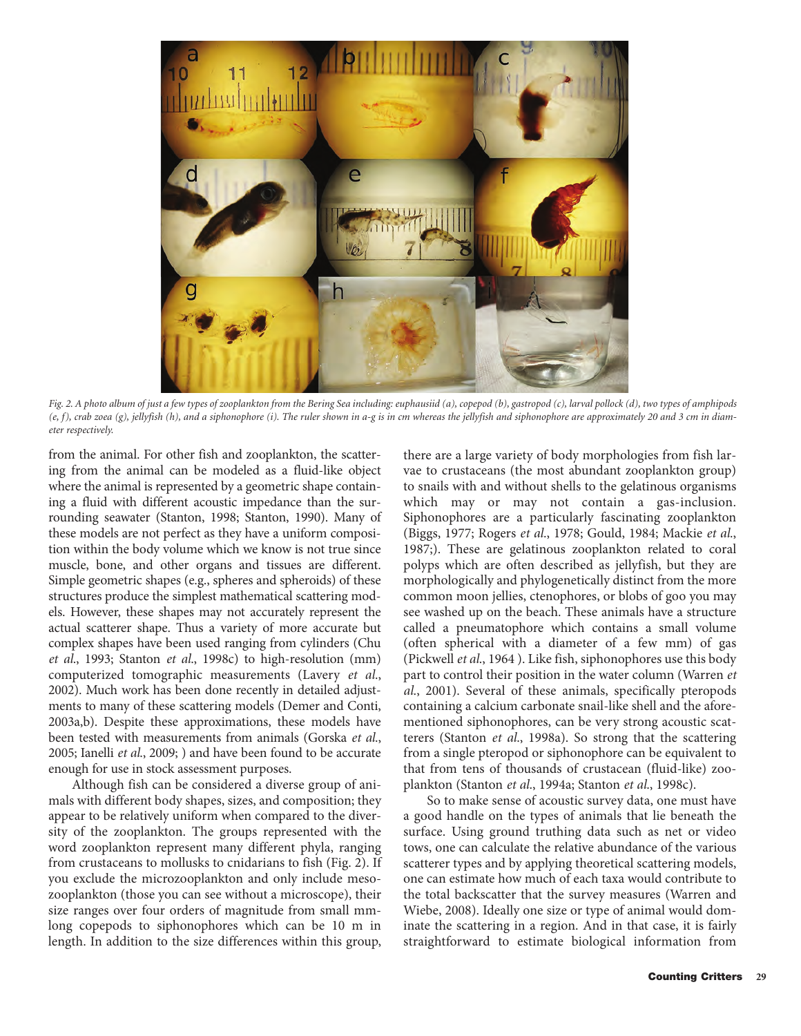

*Fig. 2. A photo album of just a few types of zooplankton from the Bering Sea including: euphausiid (a), copepod (b), gastropod (c), larval pollock (d), two types of amphipods (e, f), crab zoea (g), jellyfish (h), and a siphonophore (i). The ruler shown in a-g is in cm whereas the jellyfish and siphonophore are approximately 20 and 3 cm in diameter respectively.*

from the animal. For other fish and zooplankton, the scattering from the animal can be modeled as a fluid-like object where the animal is represented by a geometric shape containing a fluid with different acoustic impedance than the surrounding seawater (Stanton, 1998; Stanton, 1990). Many of these models are not perfect as they have a uniform composition within the body volume which we know is not true since muscle, bone, and other organs and tissues are different. Simple geometric shapes (e.g., spheres and spheroids) of these structures produce the simplest mathematical scattering models. However, these shapes may not accurately represent the actual scatterer shape. Thus a variety of more accurate but complex shapes have been used ranging from cylinders (Chu *et al.*, 1993; Stanton *et al.*, 1998c) to high-resolution (mm) computerized tomographic measurements (Lavery *et al.*, 2002). Much work has been done recently in detailed adjustments to many of these scattering models (Demer and Conti, 2003a,b). Despite these approximations, these models have been tested with measurements from animals (Gorska *et al.*, 2005; Ianelli *et al.*, 2009; ) and have been found to be accurate enough for use in stock assessment purposes.

Although fish can be considered a diverse group of animals with different body shapes, sizes, and composition; they appear to be relatively uniform when compared to the diversity of the zooplankton. The groups represented with the word zooplankton represent many different phyla, ranging from crustaceans to mollusks to cnidarians to fish (Fig. 2). If you exclude the microzooplankton and only include mesozooplankton (those you can see without a microscope), their size ranges over four orders of magnitude from small mmlong copepods to siphonophores which can be 10 m in length. In addition to the size differences within this group,

there are a large variety of body morphologies from fish larvae to crustaceans (the most abundant zooplankton group) to snails with and without shells to the gelatinous organisms which may or may not contain a gas-inclusion. Siphonophores are a particularly fascinating zooplankton (Biggs, 1977; Rogers *et al.*, 1978; Gould, 1984; Mackie *et al.*, 1987;). These are gelatinous zooplankton related to coral polyps which are often described as jellyfish, but they are morphologically and phylogenetically distinct from the more common moon jellies, ctenophores, or blobs of goo you may see washed up on the beach. These animals have a structure called a pneumatophore which contains a small volume (often spherical with a diameter of a few mm) of gas (Pickwell *et al.*, 1964 ). Like fish, siphonophores use this body part to control their position in the water column (Warren *et al.*, 2001). Several of these animals, specifically pteropods containing a calcium carbonate snail-like shell and the aforementioned siphonophores, can be very strong acoustic scatterers (Stanton *et al.*, 1998a). So strong that the scattering from a single pteropod or siphonophore can be equivalent to that from tens of thousands of crustacean (fluid-like) zooplankton (Stanton *et al.*, 1994a; Stanton *et al.*, 1998c).

So to make sense of acoustic survey data, one must have a good handle on the types of animals that lie beneath the surface. Using ground truthing data such as net or video tows, one can calculate the relative abundance of the various scatterer types and by applying theoretical scattering models, one can estimate how much of each taxa would contribute to the total backscatter that the survey measures (Warren and Wiebe, 2008). Ideally one size or type of animal would dominate the scattering in a region. And in that case, it is fairly straightforward to estimate biological information from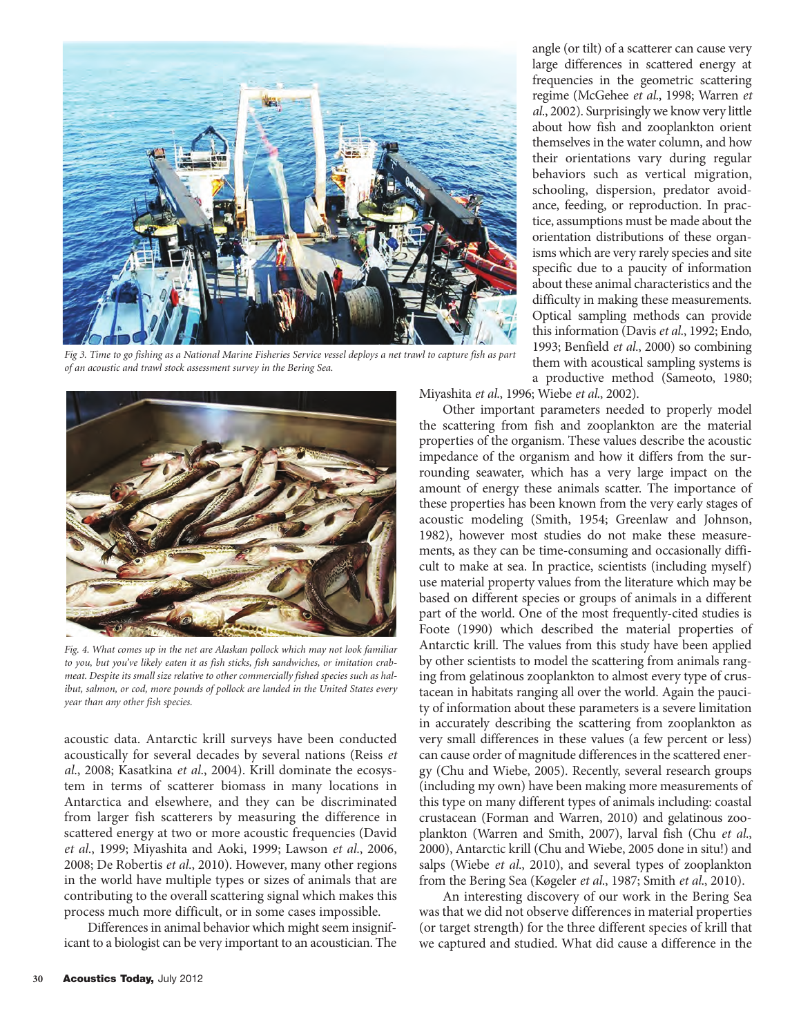

*Fig 3. Time to go fishing as a National Marine Fisheries Service vessel deploys a net trawl to capture fish as part of an acoustic and trawl stock assessment survey in the Bering Sea.*



*Fig. 4. What comes up in the net are Alaskan pollock which may not look familiar to you, but you've likely eaten it as fish sticks, fish sandwiches, or imitation crabmeat. Despite its small size relative to other commercially fished species such as halibut, salmon, or cod, more pounds of pollock are landed in the United States every year than any other fish species.*

acoustic data. Antarctic krill surveys have been conducted acoustically for several decades by several nations (Reiss *et al.*, 2008; Kasatkina *et al.*, 2004). Krill dominate the ecosystem in terms of scatterer biomass in many locations in Antarctica and elsewhere, and they can be discriminated from larger fish scatterers by measuring the difference in scattered energy at two or more acoustic frequencies (David *et al.*, 1999; Miyashita and Aoki, 1999; Lawson *et al.*, 2006, 2008; De Robertis *et al.*, 2010). However, many other regions in the world have multiple types or sizes of animals that are contributing to the overall scattering signal which makes this process much more difficult, or in some cases impossible.

Differences in animal behavior which might seem insignificant to a biologist can be very important to an acoustician. The

angle (or tilt) of a scatterer can cause very large differences in scattered energy at frequencies in the geometric scattering regime (McGehee *et al.*, 1998; Warren *et al.*, 2002). Surprisingly we know very little about how fish and zooplankton orient themselves in the water column, and how their orientations vary during regular behaviors such as vertical migration, schooling, dispersion, predator avoidance, feeding, or reproduction. In practice, assumptions must be made about the orientation distributions of these organisms which are very rarely species and site specific due to a paucity of information about these animal characteristics and the difficulty in making these measurements. Optical sampling methods can provide this information (Davis *et al.*, 1992; Endo, 1993; Benfield *et al.*, 2000) so combining them with acoustical sampling systems is a productive method (Sameoto, 1980;

Miyashita *et al.*, 1996; Wiebe *et al.*, 2002).

Other important parameters needed to properly model the scattering from fish and zooplankton are the material properties of the organism. These values describe the acoustic impedance of the organism and how it differs from the surrounding seawater, which has a very large impact on the amount of energy these animals scatter. The importance of these properties has been known from the very early stages of acoustic modeling (Smith, 1954; Greenlaw and Johnson, 1982), however most studies do not make these measurements, as they can be time-consuming and occasionally difficult to make at sea. In practice, scientists (including myself) use material property values from the literature which may be based on different species or groups of animals in a different part of the world. One of the most frequently-cited studies is Foote (1990) which described the material properties of Antarctic krill. The values from this study have been applied by other scientists to model the scattering from animals ranging from gelatinous zooplankton to almost every type of crustacean in habitats ranging all over the world. Again the paucity of information about these parameters is a severe limitation in accurately describing the scattering from zooplankton as very small differences in these values (a few percent or less) can cause order of magnitude differences in the scattered energy (Chu and Wiebe, 2005). Recently, several research groups (including my own) have been making more measurements of this type on many different types of animals including: coastal crustacean (Forman and Warren, 2010) and gelatinous zooplankton (Warren and Smith, 2007), larval fish (Chu *et al.*, 2000), Antarctic krill (Chu and Wiebe, 2005 done in situ!) and salps (Wiebe *et al.*, 2010), and several types of zooplankton from the Bering Sea (Køgeler *et al.*, 1987; Smith *et al.*, 2010).

An interesting discovery of our work in the Bering Sea was that we did not observe differences in material properties (or target strength) for the three different species of krill that we captured and studied. What did cause a difference in the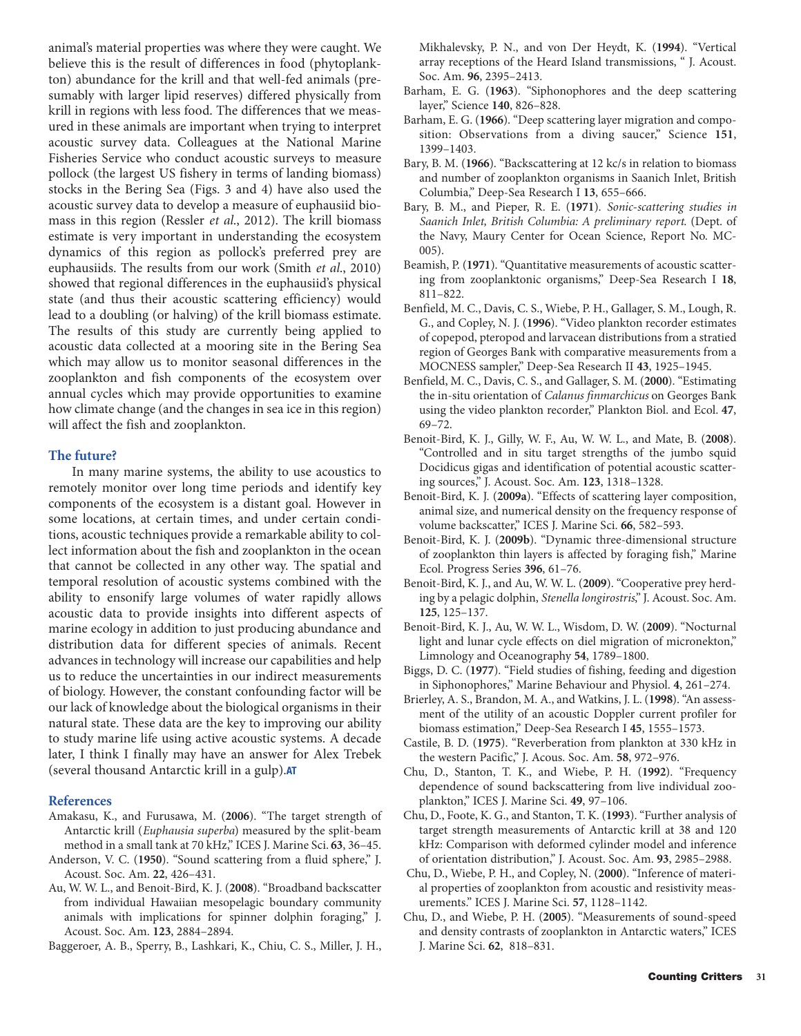animal's material properties was where they were caught. We believe this is the result of differences in food (phytoplankton) abundance for the krill and that well-fed animals (presumably with larger lipid reserves) differed physically from krill in regions with less food. The differences that we measured in these animals are important when trying to interpret acoustic survey data. Colleagues at the National Marine Fisheries Service who conduct acoustic surveys to measure pollock (the largest US fishery in terms of landing biomass) stocks in the Bering Sea (Figs. 3 and 4) have also used the acoustic survey data to develop a measure of euphausiid biomass in this region (Ressler *et al.*, 2012). The krill biomass estimate is very important in understanding the ecosystem dynamics of this region as pollock's preferred prey are euphausiids. The results from our work (Smith *et al.*, 2010) showed that regional differences in the euphausiid's physical state (and thus their acoustic scattering efficiency) would lead to a doubling (or halving) of the krill biomass estimate. The results of this study are currently being applied to acoustic data collected at a mooring site in the Bering Sea which may allow us to monitor seasonal differences in the zooplankton and fish components of the ecosystem over annual cycles which may provide opportunities to examine how climate change (and the changes in sea ice in this region) will affect the fish and zooplankton.

#### **The future?**

In many marine systems, the ability to use acoustics to remotely monitor over long time periods and identify key components of the ecosystem is a distant goal. However in some locations, at certain times, and under certain conditions, acoustic techniques provide a remarkable ability to collect information about the fish and zooplankton in the ocean that cannot be collected in any other way. The spatial and temporal resolution of acoustic systems combined with the ability to ensonify large volumes of water rapidly allows acoustic data to provide insights into different aspects of marine ecology in addition to just producing abundance and distribution data for different species of animals. Recent advances in technology will increase our capabilities and help us to reduce the uncertainties in our indirect measurements of biology. However, the constant confounding factor will be our lack of knowledge about the biological organisms in their natural state. These data are the key to improving our ability to study marine life using active acoustic systems. A decade later, I think I finally may have an answer for Alex Trebek (several thousand Antarctic krill in a gulp).**AT**

### **References**

- Amakasu, K., and Furusawa, M. (**2006**). "The target strength of Antarctic krill (*Euphausia superba*) measured by the split-beam method in a small tank at 70 kHz," ICES J. Marine Sci. **63**, 36–45.
- Anderson, V. C. (**1950**). "Sound scattering from a fluid sphere," J. Acoust. Soc. Am. **22**, 426–431.
- Au, W. W. L., and Benoit-Bird, K. J. (**2008**). "Broadband backscatter from individual Hawaiian mesopelagic boundary community animals with implications for spinner dolphin foraging," J. Acoust. Soc. Am. **123**, 2884–2894.

Baggeroer, A. B., Sperry, B., Lashkari, K., Chiu, C. S., Miller, J. H.,

Mikhalevsky, P. N., and von Der Heydt, K. (**1994**). "Vertical array receptions of the Heard Island transmissions, " J. Acoust. Soc. Am. **96**, 2395–2413.

- Barham, E. G. (**1963**). "Siphonophores and the deep scattering layer," Science **140**, 826–828.
- Barham, E. G. (**1966**). "Deep scattering layer migration and composition: Observations from a diving saucer," Science **151**, 1399–1403.
- Bary, B. M. (**1966**). "Backscattering at 12 kc/s in relation to biomass and number of zooplankton organisms in Saanich Inlet, British Columbia," Deep-Sea Research I **13**, 655–666.
- Bary, B. M., and Pieper, R. E. (**1971**). *Sonic-scattering studies in Saanich Inlet, British Columbia: A preliminary report*. (Dept. of the Navy, Maury Center for Ocean Science, Report No. MC-005).
- Beamish, P. (**1971**). "Quantitative measurements of acoustic scattering from zooplanktonic organisms," Deep-Sea Research I **18**, 811–822.
- Benfield, M. C., Davis, C. S., Wiebe, P. H., Gallager, S. M., Lough, R. G., and Copley, N. J. (**1996**). "Video plankton recorder estimates of copepod, pteropod and larvacean distributions from a stratied region of Georges Bank with comparative measurements from a MOCNESS sampler," Deep-Sea Research II **43**, 1925–1945.
- Benfield, M. C., Davis, C. S., and Gallager, S. M. (**2000**). "Estimating the in-situ orientation of *Calanus finmarchicus* on Georges Bank using the video plankton recorder," Plankton Biol. and Ecol. **47**, 69–72.
- Benoit-Bird, K. J., Gilly, W. F., Au, W. W. L., and Mate, B. (**2008**). "Controlled and in situ target strengths of the jumbo squid Docidicus gigas and identification of potential acoustic scattering sources," J. Acoust. Soc. Am. **123**, 1318–1328.
- Benoit-Bird, K. J. (**2009a**). "Effects of scattering layer composition, animal size, and numerical density on the frequency response of volume backscatter," ICES J. Marine Sci. **66**, 582–593.
- Benoit-Bird, K. J. (**2009b**). "Dynamic three-dimensional structure of zooplankton thin layers is affected by foraging fish," Marine Ecol. Progress Series **396**, 61–76.
- Benoit-Bird, K. J., and Au, W. W. L. (**2009**). "Cooperative prey herding by a pelagic dolphin, *Stenella longirostris*," J. Acoust. Soc. Am. **125**, 125–137.
- Benoit-Bird, K. J., Au, W. W. L., Wisdom, D. W. (**2009**). "Nocturnal light and lunar cycle effects on diel migration of micronekton," Limnology and Oceanography **54**, 1789–1800.
- Biggs, D. C. (**1977**). "Field studies of fishing, feeding and digestion in Siphonophores," Marine Behaviour and Physiol. **4**, 261–274.
- Brierley, A. S., Brandon, M. A., and Watkins, J. L. (**1998**). "An assessment of the utility of an acoustic Doppler current profiler for biomass estimation," Deep-Sea Research I **45**, 1555–1573.
- Castile, B. D. (**1975**). "Reverberation from plankton at 330 kHz in the western Pacific," J. Acous. Soc. Am. **58**, 972–976.
- Chu, D., Stanton, T. K., and Wiebe, P. H. (**1992**). "Frequency dependence of sound backscattering from live individual zooplankton," ICES J. Marine Sci. **49**, 97–106.
- Chu, D., Foote, K. G., and Stanton, T. K. (**1993**). "Further analysis of target strength measurements of Antarctic krill at 38 and 120 kHz: Comparison with deformed cylinder model and inference of orientation distribution," J. Acoust. Soc. Am. **93**, 2985–2988.
- Chu, D., Wiebe, P. H., and Copley, N. (**2000**). "Inference of material properties of zooplankton from acoustic and resistivity measurements." ICES J. Marine Sci. **57**, 1128–1142.
- Chu, D., and Wiebe, P. H. (**2005**). "Measurements of sound-speed and density contrasts of zooplankton in Antarctic waters," ICES J. Marine Sci. **62**, 818–831.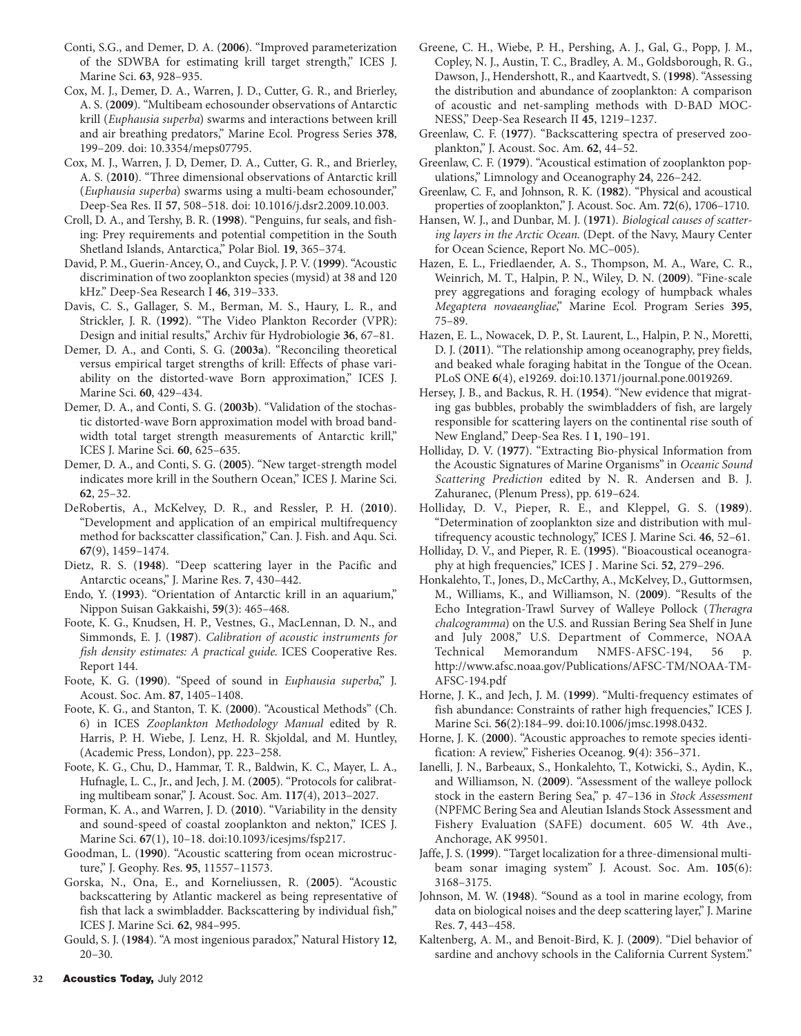- Conti, S.G., and Demer, D. A. (**2006**). "Improved parameterization of the SDWBA for estimating krill target strength," ICES J. Marine Sci. **63**, 928–935.
- Cox, M. J., Demer, D. A., Warren, J. D., Cutter, G. R., and Brierley, A. S. (**2009**). "Multibeam echosounder observations of Antarctic krill (*Euphausia superba*) swarms and interactions between krill and air breathing predators," Marine Ecol. Progress Series **378**, 199–209. doi: 10.3354/meps07795.
- Cox, M. J., Warren, J. D, Demer, D. A., Cutter, G. R., and Brierley, A. S. (**2010**). "Three dimensional observations of Antarctic krill (*Euphausia superba*) swarms using a multi-beam echosounder," Deep-Sea Res. II **57**, 508–518. doi: 10.1016/j.dsr2.2009.10.003.
- Croll, D. A., and Tershy, B. R. (**1998**). "Penguins, fur seals, and fishing: Prey requirements and potential competition in the South Shetland Islands, Antarctica," Polar Biol. **19**, 365–374.
- David, P. M., Guerin-Ancey, O., and Cuyck, J. P. V. (**1999**). "Acoustic discrimination of two zooplankton species (mysid) at 38 and 120 kHz." Deep-Sea Research I **46**, 319–333.
- Davis, C. S., Gallager, S. M., Berman, M. S., Haury, L. R., and Strickler, J. R. (**1992**). "The Video Plankton Recorder (VPR): Design and initial results," Archiv für Hydrobiologie **36**, 67–81.
- Demer, D. A., and Conti, S. G. (**2003a**). "Reconciling theoretical versus empirical target strengths of krill: Effects of phase variability on the distorted-wave Born approximation," ICES J. Marine Sci. **60**, 429–434.
- Demer, D. A., and Conti, S. G. (**2003b**). "Validation of the stochastic distorted-wave Born approximation model with broad bandwidth total target strength measurements of Antarctic krill," ICES J. Marine Sci. **60**, 625–635.
- Demer, D. A., and Conti, S. G. (**2005**). "New target-strength model indicates more krill in the Southern Ocean," ICES J. Marine Sci. **62**, 25–32.
- DeRobertis, A., McKelvey, D. R., and Ressler, P. H. (**2010**). "Development and application of an empirical multifrequency method for backscatter classification," Can. J. Fish. and Aqu. Sci. **67**(9), 1459–1474.
- Dietz, R. S. (**1948**). "Deep scattering layer in the Pacific and Antarctic oceans," J. Marine Res. **7**, 430–442.
- Endo, Y. (**1993**). "Orientation of Antarctic krill in an aquarium," Nippon Suisan Gakkaishi, **59**(3): 465–468.
- Foote, K. G., Knudsen, H. P., Vestnes, G., MacLennan, D. N., and Simmonds, E. J. (**1987**). *Calibration of acoustic instruments for fish density estimates: A practical guide*. ICES Cooperative Res. Report 144.
- Foote, K. G. (**1990**). "Speed of sound in *Euphausia superba*," J. Acoust. Soc. Am. **87**, 1405–1408.
- Foote, K. G., and Stanton, T. K. (**2000**). "Acoustical Methods" (Ch. 6) in ICES *Zooplankton Methodology Manual* edited by R. Harris, P. H. Wiebe, J. Lenz, H. R. Skjoldal, and M. Huntley, (Academic Press, London), pp. 223–258.
- Foote, K. G., Chu, D., Hammar, T. R., Baldwin, K. C., Mayer, L. A., Hufnagle, L. C., Jr., and Jech, J. M. (**2005**). "Protocols for calibrating multibeam sonar," J. Acoust. Soc. Am. **117**(4), 2013–2027.
- Forman, K. A., and Warren, J. D. (**2010**). "Variability in the density and sound-speed of coastal zooplankton and nekton," ICES J. Marine Sci. **67**(1), 10–18. doi:10.1093/icesjms/fsp217.
- Goodman, L. (**1990**). "Acoustic scattering from ocean microstructure," J. Geophy. Res. **95**, 11557–11573.
- Gorska, N., Ona, E., and Korneliussen, R. (**2005**). "Acoustic backscattering by Atlantic mackerel as being representative of fish that lack a swimbladder. Backscattering by individual fish," ICES J. Marine Sci. **62**, 984–995.
- Gould, S. J. (**1984**). "A most ingenious paradox," Natural History **12**, 20–30.
- Greene, C. H., Wiebe, P. H., Pershing, A. J., Gal, G., Popp, J. M., Copley, N. J., Austin, T. C., Bradley, A. M., Goldsborough, R. G., Dawson, J., Hendershott, R., and Kaartvedt, S. (**1998**). "Assessing the distribution and abundance of zooplankton: A comparison of acoustic and net-sampling methods with D-BAD MOC-NESS," Deep-Sea Research II **45**, 1219–1237.
- Greenlaw, C. F. (**1977**). "Backscattering spectra of preserved zooplankton," J. Acoust. Soc. Am. **62**, 44–52.
- Greenlaw, C. F. (**1979**). "Acoustical estimation of zooplankton populations," Limnology and Oceanography **24**, 226–242.
- Greenlaw, C. F., and Johnson, R. K. (**1982**). "Physical and acoustical properties of zooplankton," J. Acoust. Soc. Am. **72**(6), 1706–1710.
- Hansen, W. J., and Dunbar, M. J. (**1971**). *Biological causes of scattering layers in the Arctic Ocean*. (Dept. of the Navy, Maury Center for Ocean Science, Report No. MC–005).
- Hazen, E. L., Friedlaender, A. S., Thompson, M. A., Ware, C. R., Weinrich, M. T., Halpin, P. N., Wiley, D. N. (**2009**). "Fine-scale prey aggregations and foraging ecology of humpback whales *Megaptera novaeangliae*," Marine Ecol. Program Series **395**, 75–89.
- Hazen, E. L., Nowacek, D. P., St. Laurent, L., Halpin, P. N., Moretti, D. J. (**2011**). "The relationship among oceanography, prey fields, and beaked whale foraging habitat in the Tongue of the Ocean. PLoS ONE **6**(4), e19269. doi:10.1371/journal.pone.0019269.
- Hersey, J. B., and Backus, R. H. (**1954**). "New evidence that migrating gas bubbles, probably the swimbladders of fish, are largely responsible for scattering layers on the continental rise south of New England," Deep-Sea Res. I **1**, 190–191.
- Holliday, D. V. (**1977**). "Extracting Bio-physical Information from the Acoustic Signatures of Marine Organisms" in *Oceanic Sound Scattering Prediction* edited by N. R. Andersen and B. J. Zahuranec, (Plenum Press), pp. 619–624.
- Holliday, D. V., Pieper, R. E., and Kleppel, G. S. (**1989**). "Determination of zooplankton size and distribution with multifrequency acoustic technology," ICES J. Marine Sci. **46**, 52–61.
- Holliday, D. V., and Pieper, R. E. (**1995**). "Bioacoustical oceanography at high frequencies," ICES J . Marine Sci. **52**, 279–296.
- Honkalehto, T., Jones, D., McCarthy, A., McKelvey, D., Guttormsen, M., Williams, K., and Williamson, N. (**2009**). "Results of the Echo Integration-Trawl Survey of Walleye Pollock (*Theragra chalcogramma*) on the U.S. and Russian Bering Sea Shelf in June and July 2008," U.S. Department of Commerce, NOAA Technical Memorandum NMFS-AFSC-194, 56 p. http://www.afsc.noaa.gov/Publications/AFSC-TM/NOAA-TM-AFSC-194.pdf
- Horne, J. K., and Jech, J. M. (**1999**). "Multi-frequency estimates of fish abundance: Constraints of rather high frequencies," ICES J. Marine Sci. **56**(2):184–99. doi:10.1006/jmsc.1998.0432.
- Horne, J. K. (**2000**). "Acoustic approaches to remote species identification: A review," Fisheries Oceanog. **9**(4): 356–371.
- Ianelli, J. N., Barbeaux, S., Honkalehto, T., Kotwicki, S., Aydin, K., and Williamson, N. (**2009**). "Assessment of the walleye pollock stock in the eastern Bering Sea," p. 47–136 in *Stock Assessment* (NPFMC Bering Sea and Aleutian Islands Stock Assessment and Fishery Evaluation (SAFE) document. 605 W. 4th Ave., Anchorage, AK 99501.
- Jaffe, J. S. (**1999**). "Target localization for a three-dimensional multibeam sonar imaging system" J. Acoust. Soc. Am. **105**(6): 3168–3175.
- Johnson, M. W. (**1948**). "Sound as a tool in marine ecology, from data on biological noises and the deep scattering layer," J. Marine Res. **7**, 443–458.
- Kaltenberg, A. M., and Benoit-Bird, K. J. (**2009**). "Diel behavior of sardine and anchovy schools in the California Current System."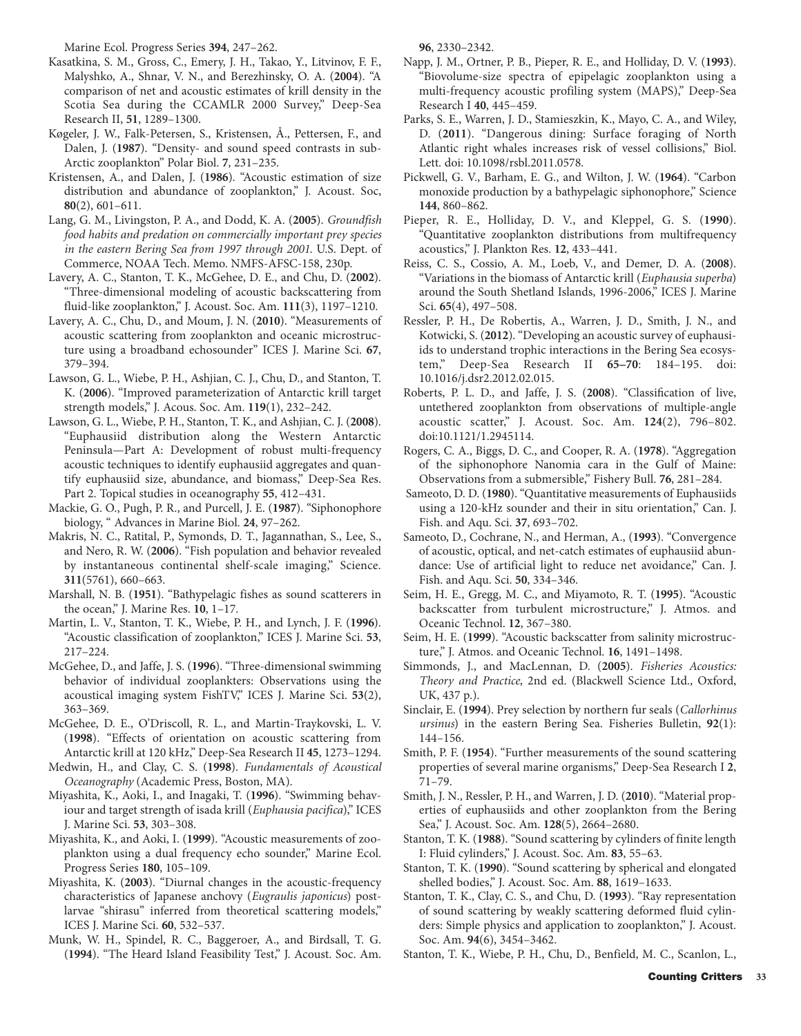Marine Ecol. Progress Series **394**, 247–262.

- Kasatkina, S. M., Gross, C., Emery, J. H., Takao, Y., Litvinov, F. F., Malyshko, A., Shnar, V. N., and Berezhinsky, O. A. (**2004**). "A comparison of net and acoustic estimates of krill density in the Scotia Sea during the CCAMLR 2000 Survey," Deep-Sea Research II, **51**, 1289–1300.
- Køgeler, J. W., Falk-Petersen, S., Kristensen, Å., Pettersen, F., and Dalen, J. (**1987**). "Density- and sound speed contrasts in sub-Arctic zooplankton" Polar Biol. **7**, 231–235.
- Kristensen, A., and Dalen, J. (**1986**). "Acoustic estimation of size distribution and abundance of zooplankton," J. Acoust. Soc, **80**(2), 601–611.
- Lang, G. M., Livingston, P. A., and Dodd, K. A. (**2005**). *Groundfish food habits and predation on commercially important prey species in the eastern Bering Sea from 1997 through 2001*. U.S. Dept. of Commerce, NOAA Tech. Memo. NMFS-AFSC-158, 230p.
- Lavery, A. C., Stanton, T. K., McGehee, D. E., and Chu, D. (**2002**). "Three-dimensional modeling of acoustic backscattering from fluid-like zooplankton," J. Acoust. Soc. Am. **111**(3), 1197–1210.
- Lavery, A. C., Chu, D., and Moum, J. N. (**2010**). "Measurements of acoustic scattering from zooplankton and oceanic microstructure using a broadband echosounder" ICES J. Marine Sci. **67**, 379–394.
- Lawson, G. L., Wiebe, P. H., Ashjian, C. J., Chu, D., and Stanton, T. K. (**2006**). "Improved parameterization of Antarctic krill target strength models," J. Acous. Soc. Am. **119**(1), 232–242.
- Lawson, G. L., Wiebe, P. H., Stanton, T. K., and Ashjian, C. J. (**2008**). "Euphausiid distribution along the Western Antarctic Peninsula—Part A: Development of robust multi-frequency acoustic techniques to identify euphausiid aggregates and quantify euphausiid size, abundance, and biomass," Deep-Sea Res. Part 2. Topical studies in oceanography **55**, 412–431.
- Mackie, G. O., Pugh, P. R., and Purcell, J. E. (**1987**). "Siphonophore biology, " Advances in Marine Biol. **24**, 97–262.
- Makris, N. C., Ratital, P., Symonds, D. T., Jagannathan, S., Lee, S., and Nero, R. W. (**2006**). "Fish population and behavior revealed by instantaneous continental shelf-scale imaging," Science. **311**(5761), 660–663.
- Marshall, N. B. (**1951**). "Bathypelagic fishes as sound scatterers in the ocean," J. Marine Res. **10**, 1–17.
- Martin, L. V., Stanton, T. K., Wiebe, P. H., and Lynch, J. F. (**1996**). "Acoustic classification of zooplankton," ICES J. Marine Sci. **53**, 217–224.
- McGehee, D., and Jaffe, J. S. (**1996**). "Three-dimensional swimming behavior of individual zooplankters: Observations using the acoustical imaging system FishTV," ICES J. Marine Sci. **53**(2), 363–369.
- McGehee, D. E., O'Driscoll, R. L., and Martin-Traykovski, L. V. (**1998**). "Effects of orientation on acoustic scattering from Antarctic krill at 120 kHz," Deep-Sea Research II **45**, 1273–1294.
- Medwin, H., and Clay, C. S. (**1998**). *Fundamentals of Acoustical Oceanography* (Academic Press, Boston, MA).
- Miyashita, K., Aoki, I., and Inagaki, T. (**1996**). "Swimming behaviour and target strength of isada krill (*Euphausia pacifica*)," ICES J. Marine Sci. **53**, 303–308.
- Miyashita, K., and Aoki, I. (**1999**). "Acoustic measurements of zooplankton using a dual frequency echo sounder," Marine Ecol. Progress Series **180**, 105–109.
- Miyashita, K. (**2003**). "Diurnal changes in the acoustic-frequency characteristics of Japanese anchovy (*Eugraulis japonicus*) postlarvae "shirasu" inferred from theoretical scattering models," ICES J. Marine Sci. **60**, 532–537.
- Munk, W. H., Spindel, R. C., Baggeroer, A., and Birdsall, T. G. (**1994**). "The Heard Island Feasibility Test," J. Acoust. Soc. Am.

**96**, 2330–2342.

- Napp, J. M., Ortner, P. B., Pieper, R. E., and Holliday, D. V. (**1993**). "Biovolume-size spectra of epipelagic zooplankton using a multi-frequency acoustic profiling system (MAPS)," Deep-Sea Research I **40**, 445–459.
- Parks, S. E., Warren, J. D., Stamieszkin, K., Mayo, C. A., and Wiley, D. (**2011**). "Dangerous dining: Surface foraging of North Atlantic right whales increases risk of vessel collisions," Biol. Lett. doi: 10.1098/rsbl.2011.0578.
- Pickwell, G. V., Barham, E. G., and Wilton, J. W. (**1964**). "Carbon monoxide production by a bathypelagic siphonophore," Science **144**, 860–862.
- Pieper, R. E., Holliday, D. V., and Kleppel, G. S. (**1990**). "Quantitative zooplankton distributions from multifrequency acoustics," J. Plankton Res. **12**, 433–441.
- Reiss, C. S., Cossio, A. M., Loeb, V., and Demer, D. A. (**2008**). "Variations in the biomass of Antarctic krill (*Euphausia superba*) around the South Shetland Islands, 1996-2006," ICES J. Marine Sci. **65**(4), 497–508.
- Ressler, P. H., De Robertis, A., Warren, J. D., Smith, J. N., and Kotwicki, S. (**2012**). "Developing an acoustic survey of euphausiids to understand trophic interactions in the Bering Sea ecosystem," Deep-Sea Research II **65–70**: 184–195. doi: 10.1016/j.dsr2.2012.02.015.
- Roberts, P. L. D., and Jaffe, J. S. (**2008**). "Classification of live, untethered zooplankton from observations of multiple-angle acoustic scatter," J. Acoust. Soc. Am. **124**(2), 796–802. doi:10.1121/1.2945114.
- Rogers, C. A., Biggs, D. C., and Cooper, R. A. (**1978**). "Aggregation of the siphonophore Nanomia cara in the Gulf of Maine: Observations from a submersible," Fishery Bull. **76**, 281–284.
- Sameoto, D. D. (**1980**). "Quantitative measurements of Euphausiids using a 120-kHz sounder and their in situ orientation," Can. J. Fish. and Aqu. Sci. **37**, 693–702.
- Sameoto, D., Cochrane, N., and Herman, A., (**1993**). "Convergence of acoustic, optical, and net-catch estimates of euphausiid abundance: Use of artificial light to reduce net avoidance," Can. J. Fish. and Aqu. Sci. **50**, 334–346.
- Seim, H. E., Gregg, M. C., and Miyamoto, R. T. (**1995**). "Acoustic backscatter from turbulent microstructure," J. Atmos. and Oceanic Technol. **12**, 367–380.
- Seim, H. E. (**1999**). "Acoustic backscatter from salinity microstructure," J. Atmos. and Oceanic Technol. **16**, 1491–1498.
- Simmonds, J., and MacLennan, D. (**2005**). *Fisheries Acoustics: Theory and Practice*, 2nd ed. (Blackwell Science Ltd., Oxford, UK, 437 p.).
- Sinclair, E. (**1994**). Prey selection by northern fur seals (*Callorhinus ursinus*) in the eastern Bering Sea. Fisheries Bulletin, **92**(1): 144–156.
- Smith, P. F. (**1954**). "Further measurements of the sound scattering properties of several marine organisms," Deep-Sea Research I **2**, 71–79.
- Smith, J. N., Ressler, P. H., and Warren, J. D. (**2010**). "Material properties of euphausiids and other zooplankton from the Bering Sea," J. Acoust. Soc. Am. **128**(5), 2664–2680.
- Stanton, T. K. (**1988**). "Sound scattering by cylinders of finite length I: Fluid cylinders," J. Acoust. Soc. Am. **83**, 55–63.
- Stanton, T. K. (**1990**). "Sound scattering by spherical and elongated shelled bodies," J. Acoust. Soc. Am. **88**, 1619–1633.
- Stanton, T. K., Clay, C. S., and Chu, D. (**1993**). "Ray representation of sound scattering by weakly scattering deformed fluid cylinders: Simple physics and application to zooplankton," J. Acoust. Soc. Am. **94**(6), 3454–3462.
- Stanton, T. K., Wiebe, P. H., Chu, D., Benfield, M. C., Scanlon, L.,